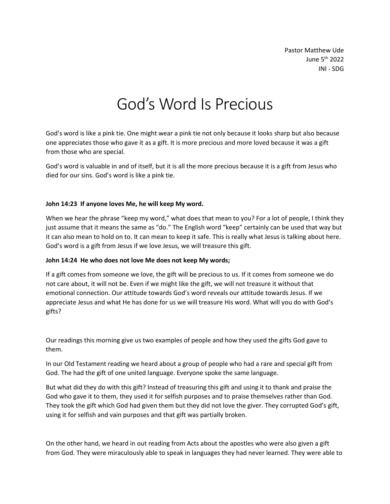Pastor Matthew Ude June 5 th 2022 INI - SDG

# God's Word Is Precious

God's word is like a pink tie. One might wear a pink tie not only because it looks sharp but also because one appreciates those who gave it as a gift. It is more precious and more loved because it was a gift from those who are special.

God's word is valuable in and of itself, but it is all the more precious because it is a gift from Jesus who died for our sins. God's word is like a pink tie.

#### **John 14:23 If anyone loves Me, he will keep My word.**

When we hear the phrase "keep my word," what does that mean to you? For a lot of people, I think they just assume that it means the same as "do." The English word "keep" certainly can be used that way but it can also mean to hold on to. It can mean to keep it safe. This is really what Jesus is talking about here. God's word is a gift from Jesus if we love Jesus, we will treasure this gift.

#### **John 14:24 He who does not love Me does not keep My words;**

If a gift comes from someone we love, the gift will be precious to us. If it comes from someone we do not care about, it will not be. Even if we might like the gift, we will not treasure it without that emotional connection. Our attitude towards God's word reveals our attitude towards Jesus. If we appreciate Jesus and what He has done for us we will treasure His word. What will you do with God's gifts?

Our readings this morning give us two examples of people and how they used the gifts God gave to them.

In our Old Testament reading we heard about a group of people who had a rare and special gift from God. The had the gift of one united language. Everyone spoke the same language.

But what did they do with this gift? Instead of treasuring this gift and using it to thank and praise the God who gave it to them, they used it for selfish purposes and to praise themselves rather than God. They took the gift which God had given them but they did not love the giver. They corrupted God's gift, using it for selfish and vain purposes and that gift was partially broken.

On the other hand, we heard in out reading from Acts about the apostles who were also given a gift from God. They were miraculously able to speak in languages they had never learned. They were able to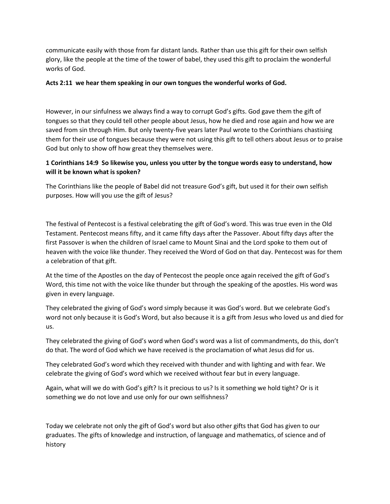communicate easily with those from far distant lands. Rather than use this gift for their own selfish glory, like the people at the time of the tower of babel, they used this gift to proclaim the wonderful works of God.

#### **Acts 2:11 we hear them speaking in our own tongues the wonderful works of God.**

However, in our sinfulness we always find a way to corrupt God's gifts. God gave them the gift of tongues so that they could tell other people about Jesus, how he died and rose again and how we are saved from sin through Him. But only twenty-five years later Paul wrote to the Corinthians chastising them for their use of tongues because they were not using this gift to tell others about Jesus or to praise God but only to show off how great they themselves were.

### **1 Corinthians 14:9 So likewise you, unless you utter by the tongue words easy to understand, how will it be known what is spoken?**

The Corinthians like the people of Babel did not treasure God's gift, but used it for their own selfish purposes. How will you use the gift of Jesus?

The festival of Pentecost is a festival celebrating the gift of God's word. This was true even in the Old Testament. Pentecost means fifty, and it came fifty days after the Passover. About fifty days after the first Passover is when the children of Israel came to Mount Sinai and the Lord spoke to them out of heaven with the voice like thunder. They received the Word of God on that day. Pentecost was for them a celebration of that gift.

At the time of the Apostles on the day of Pentecost the people once again received the gift of God's Word, this time not with the voice like thunder but through the speaking of the apostles. His word was given in every language.

They celebrated the giving of God's word simply because it was God's word. But we celebrate God's word not only because it is God's Word, but also because it is a gift from Jesus who loved us and died for us.

They celebrated the giving of God's word when God's word was a list of commandments, do this, don't do that. The word of God which we have received is the proclamation of what Jesus did for us.

They celebrated God's word which they received with thunder and with lighting and with fear. We celebrate the giving of God's word which we received without fear but in every language.

Again, what will we do with God's gift? Is it precious to us? Is it something we hold tight? Or is it something we do not love and use only for our own selfishness?

Today we celebrate not only the gift of God's word but also other gifts that God has given to our graduates. The gifts of knowledge and instruction, of language and mathematics, of science and of history